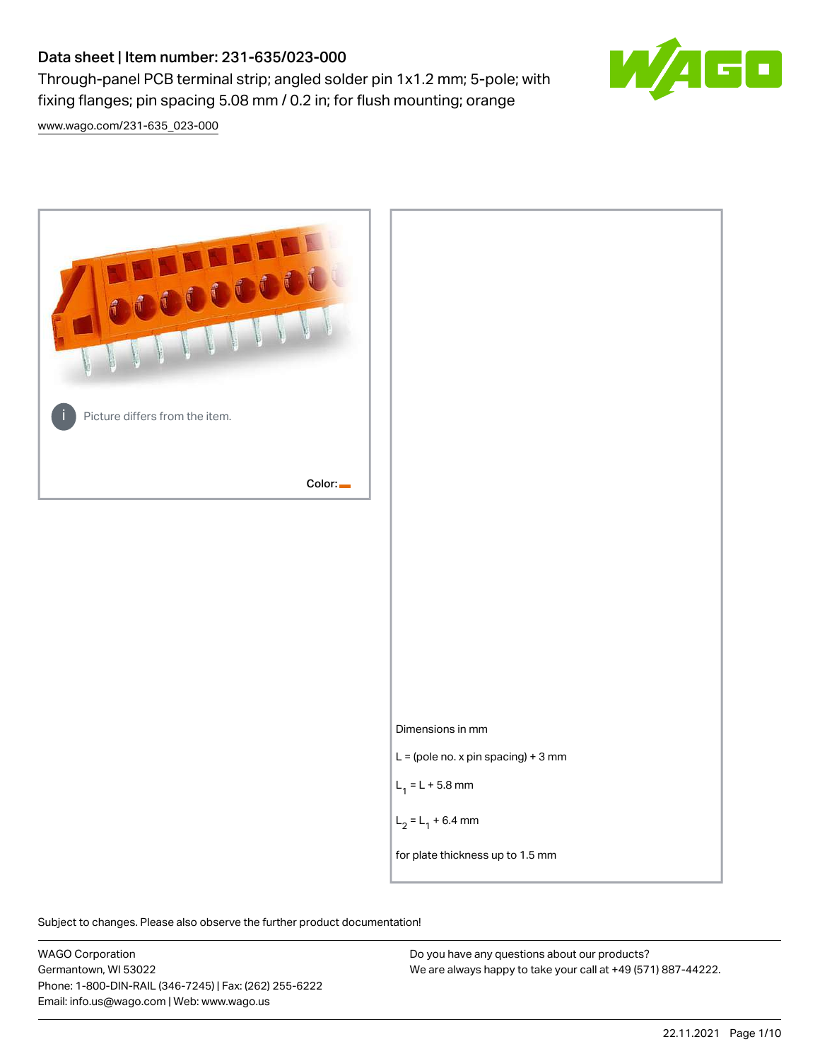# Data sheet | Item number: 231-635/023-000

Through-panel PCB terminal strip; angled solder pin 1x1.2 mm; 5-pole; with fixing flanges; pin spacing 5.08 mm / 0.2 in; for flush mounting; orange



[www.wago.com/231-635\\_023-000](http://www.wago.com/231-635_023-000)



Subject to changes. Please also observe the further product documentation!

WAGO Corporation Germantown, WI 53022 Phone: 1-800-DIN-RAIL (346-7245) | Fax: (262) 255-6222 Email: info.us@wago.com | Web: www.wago.us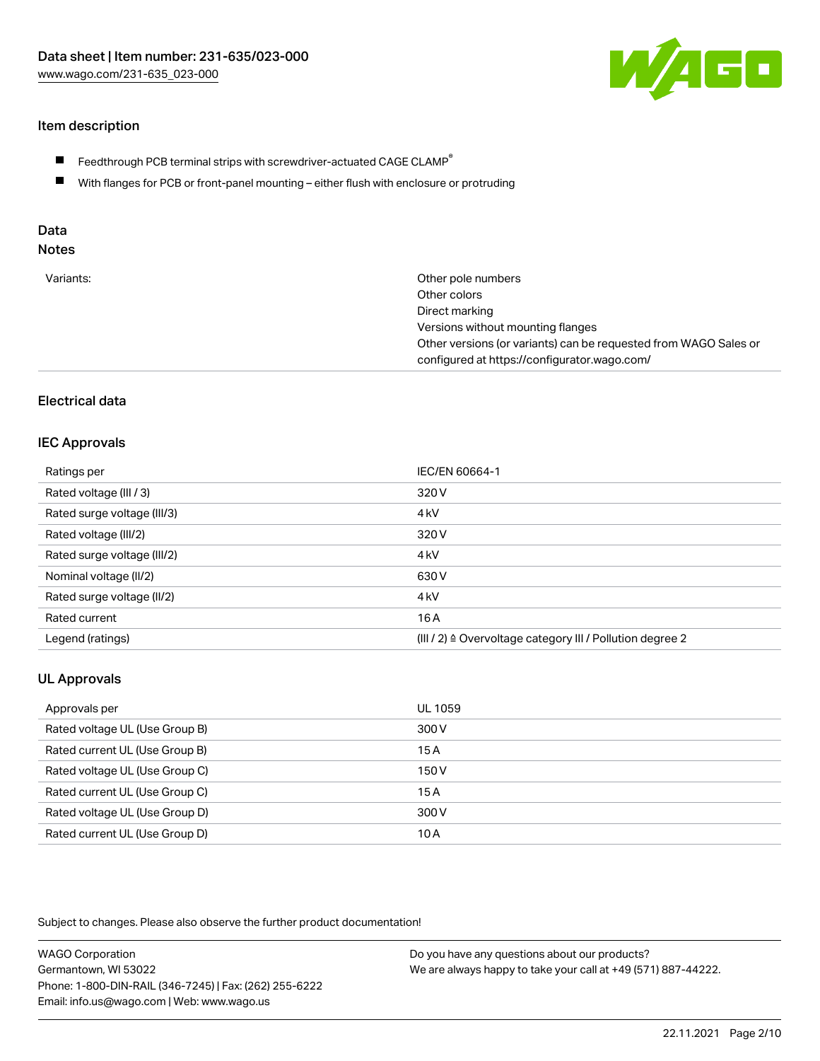

# Item description

- $\blacksquare$  Feedthrough PCB terminal strips with screwdriver-actuated CAGE CLAMP<sup>®</sup>
- With flanges for PCB or front-panel mounting either flush with enclosure or protruding

# Data

# Notes

| Variants: | Other pole numbers                                               |
|-----------|------------------------------------------------------------------|
|           | Other colors                                                     |
|           | Direct marking                                                   |
|           | Versions without mounting flanges                                |
|           | Other versions (or variants) can be requested from WAGO Sales or |
|           | configured at https://configurator.wago.com/                     |
|           |                                                                  |

# Electrical data

#### IEC Approvals

| Ratings per                 | IEC/EN 60664-1                                                       |
|-----------------------------|----------------------------------------------------------------------|
| Rated voltage (III / 3)     | 320 V                                                                |
| Rated surge voltage (III/3) | 4 <sub>kV</sub>                                                      |
| Rated voltage (III/2)       | 320 V                                                                |
| Rated surge voltage (III/2) | 4 <sub>kV</sub>                                                      |
| Nominal voltage (II/2)      | 630 V                                                                |
| Rated surge voltage (II/2)  | 4 <sub>kV</sub>                                                      |
| Rated current               | 16A                                                                  |
| Legend (ratings)            | (III / 2) $\triangleq$ Overvoltage category III / Pollution degree 2 |

# UL Approvals

| Approvals per                  | UL 1059 |
|--------------------------------|---------|
| Rated voltage UL (Use Group B) | 300 V   |
| Rated current UL (Use Group B) | 15A     |
| Rated voltage UL (Use Group C) | 150 V   |
| Rated current UL (Use Group C) | 15A     |
| Rated voltage UL (Use Group D) | 300 V   |
| Rated current UL (Use Group D) | 10 A    |

Subject to changes. Please also observe the further product documentation!

| <b>WAGO Corporation</b>                                | Do you have any questions about our products?                 |
|--------------------------------------------------------|---------------------------------------------------------------|
| Germantown, WI 53022                                   | We are always happy to take your call at +49 (571) 887-44222. |
| Phone: 1-800-DIN-RAIL (346-7245)   Fax: (262) 255-6222 |                                                               |
| Email: info.us@wago.com   Web: www.wago.us             |                                                               |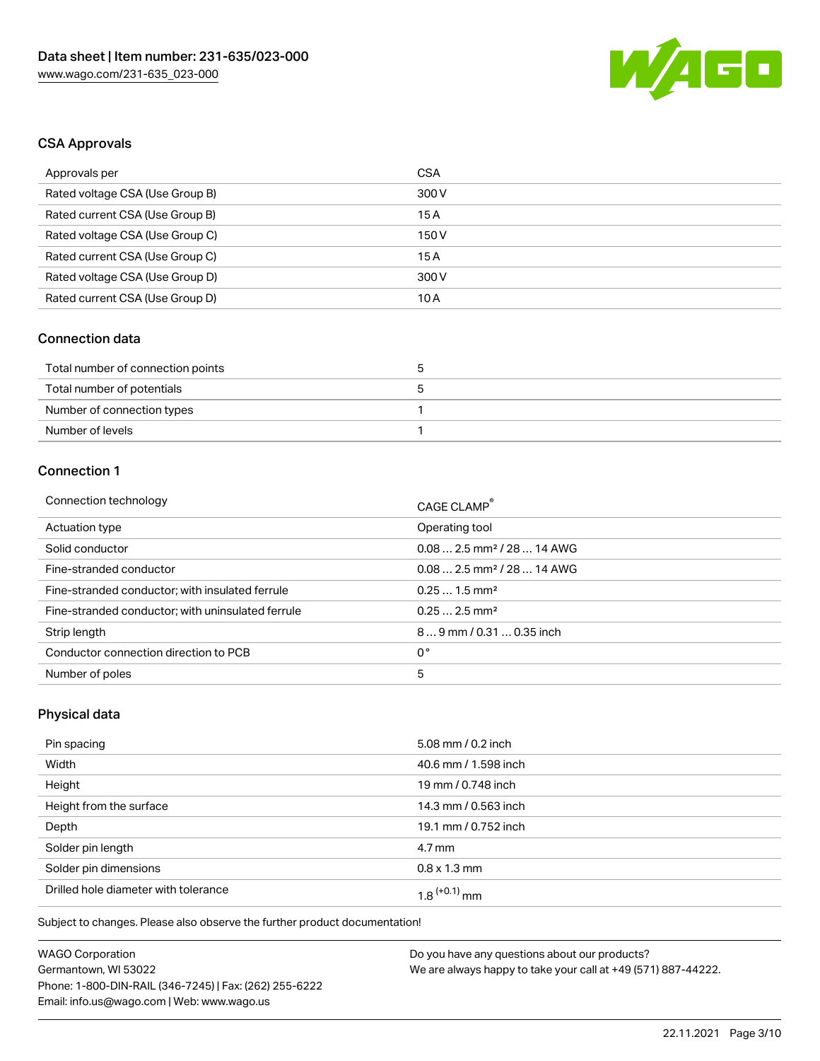

# CSA Approvals

| Approvals per                   | CSA   |
|---------------------------------|-------|
| Rated voltage CSA (Use Group B) | 300 V |
| Rated current CSA (Use Group B) | 15 A  |
| Rated voltage CSA (Use Group C) | 150 V |
| Rated current CSA (Use Group C) | 15 A  |
| Rated voltage CSA (Use Group D) | 300 V |
| Rated current CSA (Use Group D) | 10 A  |

# Connection data

| Total number of connection points |  |
|-----------------------------------|--|
| Total number of potentials        |  |
| Number of connection types        |  |
| Number of levels                  |  |

# Connection 1

| Connection technology                             | CAGE CLAMP®                             |
|---------------------------------------------------|-----------------------------------------|
| Actuation type                                    | Operating tool                          |
| Solid conductor                                   | $0.08$ 2.5 mm <sup>2</sup> / 28  14 AWG |
| Fine-stranded conductor                           | $0.082.5$ mm <sup>2</sup> / 28  14 AWG  |
| Fine-stranded conductor; with insulated ferrule   | $0.251.5$ mm <sup>2</sup>               |
| Fine-stranded conductor; with uninsulated ferrule | $0.252.5$ mm <sup>2</sup>               |
| Strip length                                      | 89 mm / 0.31  0.35 inch                 |
| Conductor connection direction to PCB             | 0°                                      |
| Number of poles                                   | 5                                       |

# Physical data

| Pin spacing                          | 5.08 mm / 0.2 inch   |
|--------------------------------------|----------------------|
| Width                                | 40.6 mm / 1.598 inch |
| Height                               | 19 mm / 0.748 inch   |
| Height from the surface              | 14.3 mm / 0.563 inch |
| Depth                                | 19.1 mm / 0.752 inch |
| Solder pin length                    | $4.7 \,\mathrm{mm}$  |
| Solder pin dimensions                | $0.8 \times 1.3$ mm  |
| Drilled hole diameter with tolerance | $1.8$ $(+0.1)$ mm    |

Subject to changes. Please also observe the further product documentation!

| <b>WAGO Corporation</b>                                |  |
|--------------------------------------------------------|--|
| Germantown, WI 53022                                   |  |
| Phone: 1-800-DIN-RAIL (346-7245)   Fax: (262) 255-6222 |  |
| Email: info.us@wago.com   Web: www.wago.us             |  |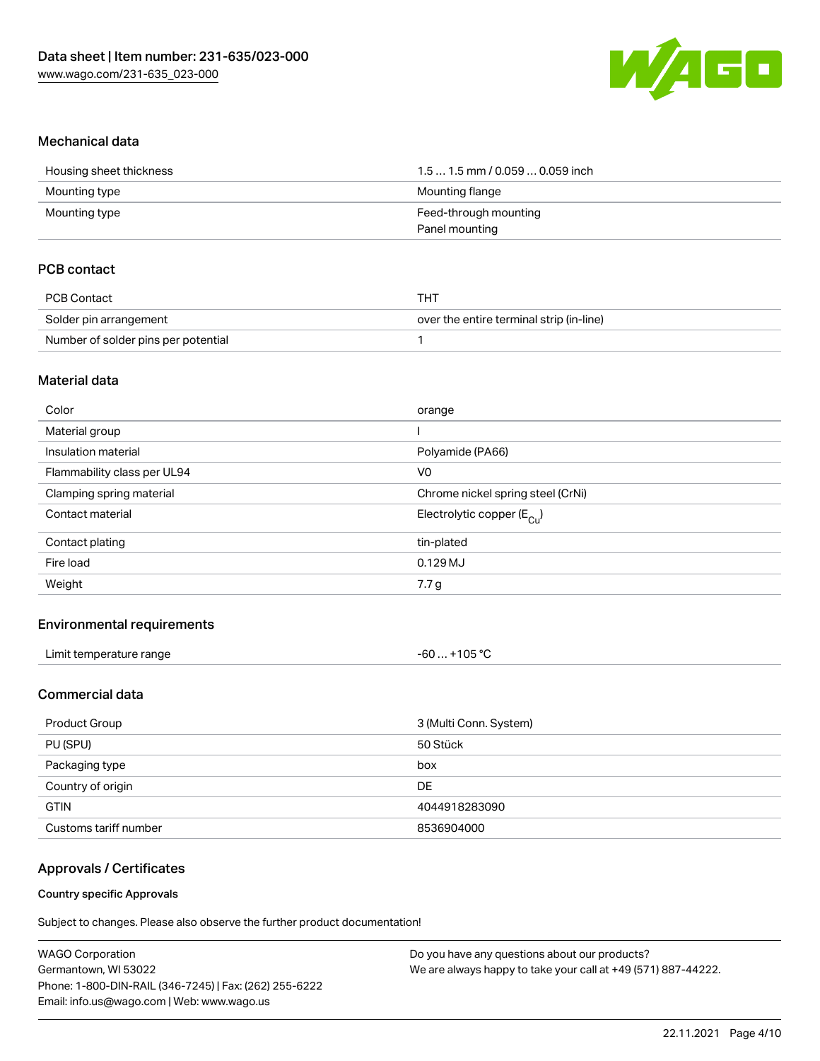

#### Mechanical data

| Housing sheet thickness | 1.5  1.5 mm / 0.059  0.059 inch |
|-------------------------|---------------------------------|
| Mounting type           | Mounting flange                 |
| Mounting type           | Feed-through mounting           |
|                         | Panel mounting                  |

## PCB contact

| PCB Contact                         | тнт                                      |
|-------------------------------------|------------------------------------------|
| Solder pin arrangement              | over the entire terminal strip (in-line) |
| Number of solder pins per potential |                                          |

#### Material data

| Color                       | orange                                |
|-----------------------------|---------------------------------------|
| Material group              |                                       |
| Insulation material         | Polyamide (PA66)                      |
| Flammability class per UL94 | V <sub>0</sub>                        |
| Clamping spring material    | Chrome nickel spring steel (CrNi)     |
| Contact material            | Electrolytic copper $(E_{\text{Cl}})$ |
| Contact plating             | tin-plated                            |
| Fire load                   | $0.129$ MJ                            |
| Weight                      | 7.7 g                                 |

#### Environmental requirements

| Limit temperature range | $-60+105 °C$ |
|-------------------------|--------------|
|-------------------------|--------------|

# Commercial data

| Product Group         | 3 (Multi Conn. System) |
|-----------------------|------------------------|
| PU (SPU)              | 50 Stück               |
| Packaging type        | box                    |
| Country of origin     | DE                     |
| <b>GTIN</b>           | 4044918283090          |
| Customs tariff number | 8536904000             |

#### Approvals / Certificates

#### Country specific Approvals

Subject to changes. Please also observe the further product documentation!

| <b>WAGO Corporation</b>                                | Do you have any questions about our products?                 |
|--------------------------------------------------------|---------------------------------------------------------------|
| Germantown, WI 53022                                   | We are always happy to take your call at +49 (571) 887-44222. |
| Phone: 1-800-DIN-RAIL (346-7245)   Fax: (262) 255-6222 |                                                               |
| Email: info.us@wago.com   Web: www.wago.us             |                                                               |
|                                                        |                                                               |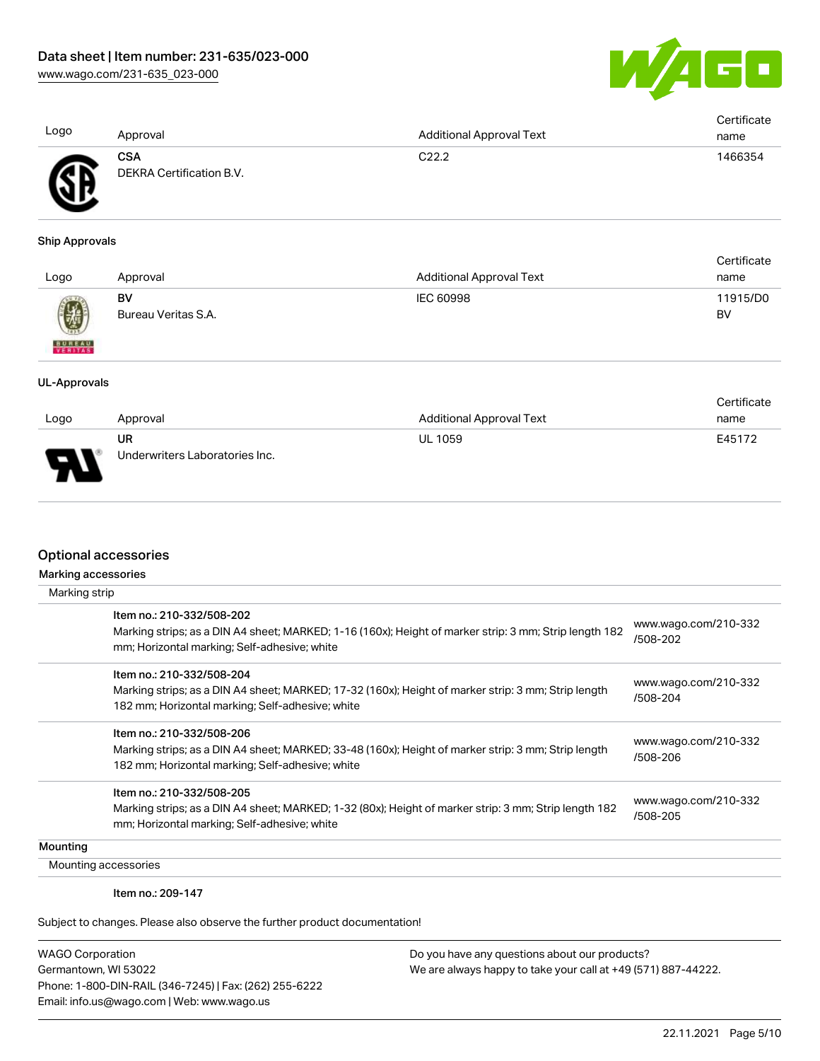

|                       |                          |                                 | Certificate |
|-----------------------|--------------------------|---------------------------------|-------------|
| Logo                  | Approval                 | <b>Additional Approval Text</b> | name        |
|                       | <b>CSA</b>               | C22.2                           | 1466354     |
|                       | DEKRA Certification B.V. |                                 |             |
| <b>Ship Approvals</b> |                          |                                 |             |
|                       |                          |                                 | Certificate |
| Logo                  | Approval                 | <b>Additional Approval Text</b> | name        |
|                       | BV                       | IEC 60998                       | 11915/D0    |
| <b>BUREAU</b>         | Bureau Veritas S.A.      |                                 | BV          |
| <b>UL-Approvals</b>   |                          |                                 | Certificate |
|                       |                          |                                 |             |

| Logo | Approval                       | Additional Approval Text | UCI UIIU QUE<br>name |
|------|--------------------------------|--------------------------|----------------------|
|      | UR                             | <b>UL 1059</b>           | E45172               |
| J    | Underwriters Laboratories Inc. |                          |                      |

#### Optional accessories

| Marking accessories |                                                                                                        |                                  |
|---------------------|--------------------------------------------------------------------------------------------------------|----------------------------------|
| Marking strip       |                                                                                                        |                                  |
|                     | Item no.: 210-332/508-202                                                                              |                                  |
|                     | Marking strips; as a DIN A4 sheet; MARKED; 1-16 (160x); Height of marker strip: 3 mm; Strip length 182 | www.wago.com/210-332<br>/508-202 |
|                     | mm; Horizontal marking; Self-adhesive; white                                                           |                                  |
|                     | Item no.: 210-332/508-204                                                                              |                                  |
|                     | Marking strips; as a DIN A4 sheet; MARKED; 17-32 (160x); Height of marker strip: 3 mm; Strip length    | www.wago.com/210-332<br>/508-204 |
|                     | 182 mm; Horizontal marking; Self-adhesive; white                                                       |                                  |
|                     | Item no.: 210-332/508-206                                                                              |                                  |
|                     | Marking strips; as a DIN A4 sheet; MARKED; 33-48 (160x); Height of marker strip: 3 mm; Strip length    | www.wago.com/210-332<br>/508-206 |
|                     | 182 mm; Horizontal marking; Self-adhesive; white                                                       |                                  |
|                     | Item no.: 210-332/508-205                                                                              |                                  |
|                     | Marking strips; as a DIN A4 sheet; MARKED; 1-32 (80x); Height of marker strip: 3 mm; Strip length 182  | www.wago.com/210-332             |
|                     | mm; Horizontal marking; Self-adhesive; white                                                           | /508-205                         |
| Mounting            |                                                                                                        |                                  |
|                     | Mounting accessories                                                                                   |                                  |

Item no.: 209-147

Subject to changes. Please also observe the further product documentation!

WAGO Corporation Germantown, WI 53022 Phone: 1-800-DIN-RAIL (346-7245) | Fax: (262) 255-6222 Email: info.us@wago.com | Web: www.wago.us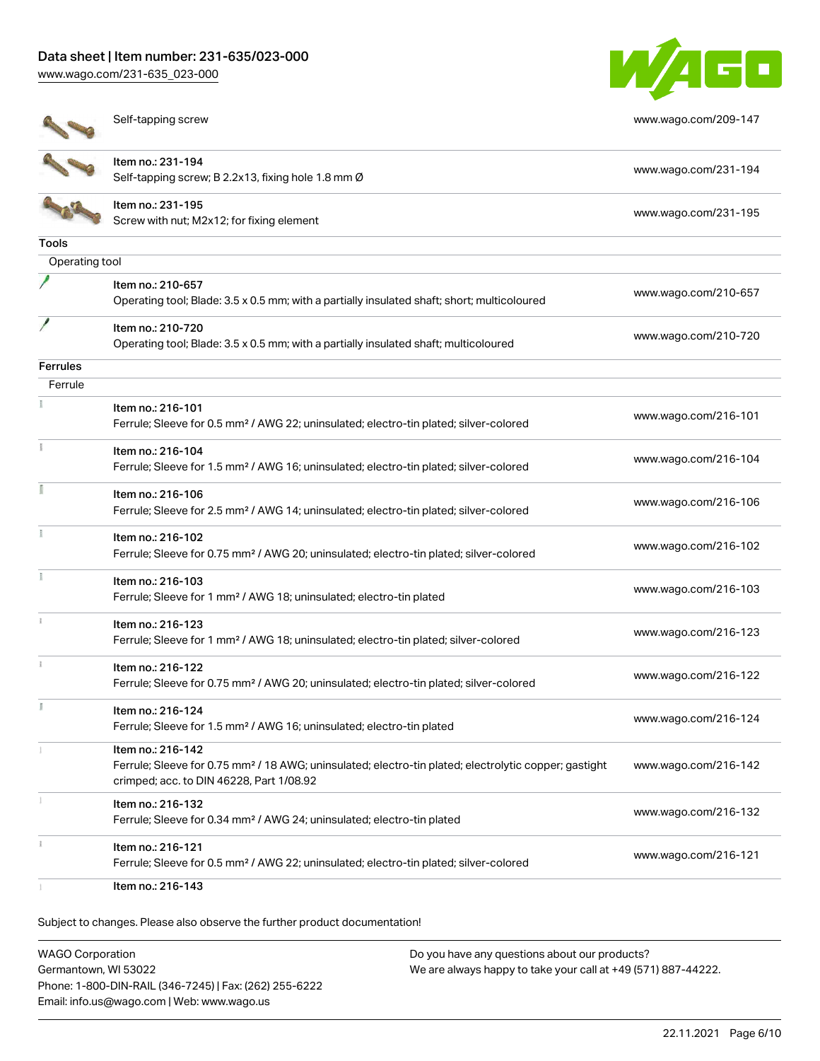# Data sheet | Item number: 231-635/023-000

[www.wago.com/231-635\\_023-000](http://www.wago.com/231-635_023-000)





Self-tapping screw [www.wago.com/209-147](http://www.wago.com/209-147)



Item no.: 231-194 Self-tapping screw; B 2.2x13, fixing hole 1.8 mm Ø [www.wago.com/231-194](http://www.wago.com/231-194) Item no.: 231-195 Nettrition: 231-195<br>Screw with nut; M2x12; for fixing element [www.wago.com/231-195](http://www.wago.com/231-195)

# Tools

| Operating tool  |                                                                                                                   |                      |
|-----------------|-------------------------------------------------------------------------------------------------------------------|----------------------|
|                 | Item no.: 210-657<br>Operating tool; Blade: 3.5 x 0.5 mm; with a partially insulated shaft; short; multicoloured  | www.wago.com/210-657 |
|                 | Item no.: 210-720<br>Operating tool; Blade: 3.5 x 0.5 mm; with a partially insulated shaft; multicoloured         | www.wago.com/210-720 |
| <b>Ferrules</b> |                                                                                                                   |                      |
| Ferrule         |                                                                                                                   |                      |
|                 | Item no.: 216-101                                                                                                 |                      |
|                 | Ferrule; Sleeve for 0.5 mm <sup>2</sup> / AWG 22; uninsulated; electro-tin plated; silver-colored                 | www.wago.com/216-101 |
| Ť               | Item no.: 216-104                                                                                                 | www.wago.com/216-104 |
|                 | Ferrule; Sleeve for 1.5 mm <sup>2</sup> / AWG 16; uninsulated; electro-tin plated; silver-colored                 |                      |
| ī               | Item no.: 216-106                                                                                                 |                      |
|                 | Ferrule; Sleeve for 2.5 mm <sup>2</sup> / AWG 14; uninsulated; electro-tin plated; silver-colored                 | www.wago.com/216-106 |
| ī               | Item no.: 216-102                                                                                                 |                      |
|                 | Ferrule; Sleeve for 0.75 mm <sup>2</sup> / AWG 20; uninsulated; electro-tin plated; silver-colored                | www.wago.com/216-102 |
|                 | Item no.: 216-103                                                                                                 |                      |
|                 | Ferrule; Sleeve for 1 mm <sup>2</sup> / AWG 18; uninsulated; electro-tin plated                                   | www.wago.com/216-103 |
|                 | Item no.: 216-123                                                                                                 |                      |
|                 | Ferrule; Sleeve for 1 mm <sup>2</sup> / AWG 18; uninsulated; electro-tin plated; silver-colored                   | www.wago.com/216-123 |
| $\frac{1}{3}$   | Item no.: 216-122                                                                                                 |                      |
|                 | Ferrule; Sleeve for 0.75 mm <sup>2</sup> / AWG 20; uninsulated; electro-tin plated; silver-colored                | www.wago.com/216-122 |
|                 | Item no.: 216-124                                                                                                 |                      |
|                 | Ferrule; Sleeve for 1.5 mm <sup>2</sup> / AWG 16; uninsulated; electro-tin plated                                 | www.wago.com/216-124 |
|                 | Item no.: 216-142                                                                                                 |                      |
|                 | Ferrule; Sleeve for 0.75 mm <sup>2</sup> / 18 AWG; uninsulated; electro-tin plated; electrolytic copper; gastight | www.wago.com/216-142 |
|                 | crimped; acc. to DIN 46228, Part 1/08.92                                                                          |                      |
|                 | Item no.: 216-132                                                                                                 | www.wago.com/216-132 |
|                 | Ferrule; Sleeve for 0.34 mm <sup>2</sup> / AWG 24; uninsulated; electro-tin plated                                |                      |
|                 | Item no.: 216-121                                                                                                 | www.wago.com/216-121 |
|                 | Ferrule; Sleeve for 0.5 mm <sup>2</sup> / AWG 22; uninsulated; electro-tin plated; silver-colored                 |                      |
|                 | Item no.: 216-143                                                                                                 |                      |

Subject to changes. Please also observe the further product documentation!

WAGO Corporation Germantown, WI 53022 Phone: 1-800-DIN-RAIL (346-7245) | Fax: (262) 255-6222 Email: info.us@wago.com | Web: www.wago.us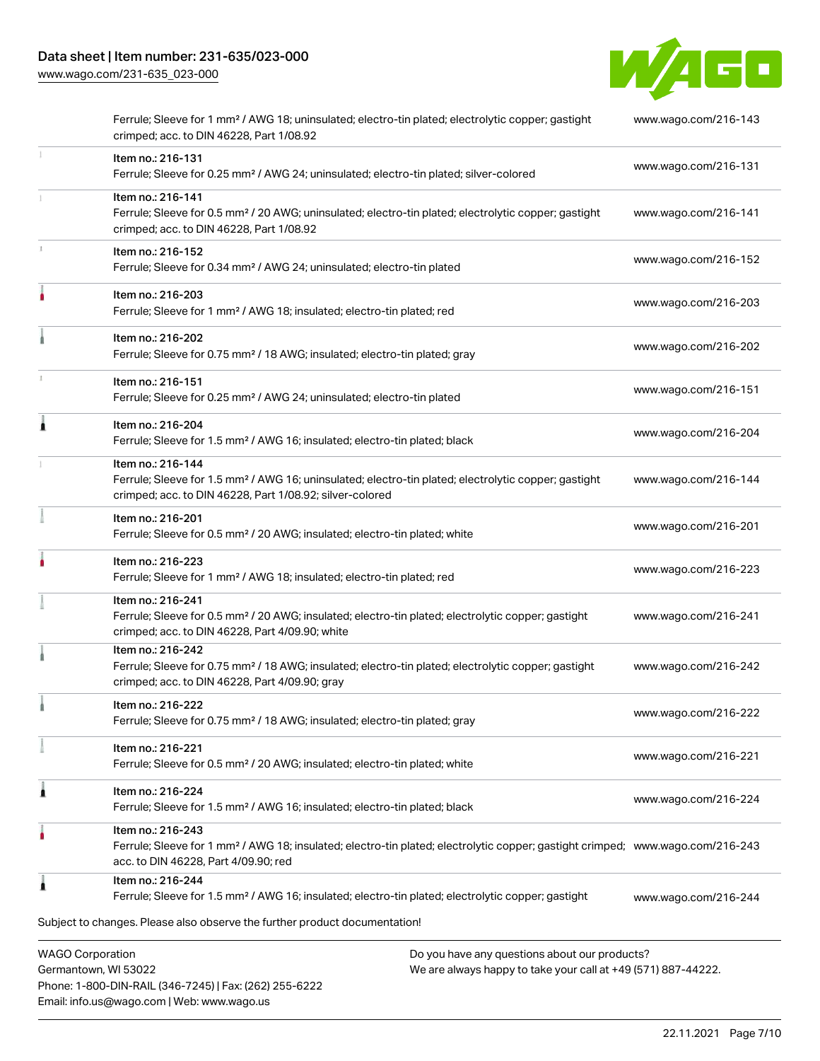Email: info.us@wago.com | Web: www.wago.us

[www.wago.com/231-635\\_023-000](http://www.wago.com/231-635_023-000)



|    | Ferrule; Sleeve for 1 mm <sup>2</sup> / AWG 18; uninsulated; electro-tin plated; electrolytic copper; gastight<br>crimped; acc. to DIN 46228, Part 1/08.92                                              |                                                                                                                | www.wago.com/216-143 |
|----|---------------------------------------------------------------------------------------------------------------------------------------------------------------------------------------------------------|----------------------------------------------------------------------------------------------------------------|----------------------|
|    | Item no.: 216-131<br>Ferrule; Sleeve for 0.25 mm <sup>2</sup> / AWG 24; uninsulated; electro-tin plated; silver-colored                                                                                 |                                                                                                                | www.wago.com/216-131 |
|    | Item no.: 216-141<br>Ferrule; Sleeve for 0.5 mm <sup>2</sup> / 20 AWG; uninsulated; electro-tin plated; electrolytic copper; gastight<br>crimped; acc. to DIN 46228, Part 1/08.92                       |                                                                                                                | www.wago.com/216-141 |
| z. | Item no.: 216-152<br>Ferrule; Sleeve for 0.34 mm <sup>2</sup> / AWG 24; uninsulated; electro-tin plated                                                                                                 |                                                                                                                | www.wago.com/216-152 |
|    | Item no.: 216-203<br>Ferrule; Sleeve for 1 mm <sup>2</sup> / AWG 18; insulated; electro-tin plated; red                                                                                                 |                                                                                                                | www.wago.com/216-203 |
|    | Item no.: 216-202<br>Ferrule; Sleeve for 0.75 mm <sup>2</sup> / 18 AWG; insulated; electro-tin plated; gray                                                                                             |                                                                                                                | www.wago.com/216-202 |
|    | Item no.: 216-151<br>Ferrule; Sleeve for 0.25 mm <sup>2</sup> / AWG 24; uninsulated; electro-tin plated                                                                                                 |                                                                                                                | www.wago.com/216-151 |
|    | Item no.: 216-204<br>Ferrule; Sleeve for 1.5 mm <sup>2</sup> / AWG 16; insulated; electro-tin plated; black                                                                                             |                                                                                                                | www.wago.com/216-204 |
|    | Item no.: 216-144<br>Ferrule; Sleeve for 1.5 mm <sup>2</sup> / AWG 16; uninsulated; electro-tin plated; electrolytic copper; gastight<br>crimped; acc. to DIN 46228, Part 1/08.92; silver-colored       |                                                                                                                | www.wago.com/216-144 |
|    | Item no.: 216-201<br>Ferrule; Sleeve for 0.5 mm <sup>2</sup> / 20 AWG; insulated; electro-tin plated; white                                                                                             |                                                                                                                | www.wago.com/216-201 |
|    | Item no.: 216-223<br>Ferrule; Sleeve for 1 mm <sup>2</sup> / AWG 18; insulated; electro-tin plated; red                                                                                                 |                                                                                                                | www.wago.com/216-223 |
|    | Item no.: 216-241<br>Ferrule; Sleeve for 0.5 mm <sup>2</sup> / 20 AWG; insulated; electro-tin plated; electrolytic copper; gastight<br>crimped; acc. to DIN 46228, Part 4/09.90; white                  |                                                                                                                | www.wago.com/216-241 |
|    | Item no.: 216-242<br>Ferrule; Sleeve for 0.75 mm <sup>2</sup> / 18 AWG; insulated; electro-tin plated; electrolytic copper; gastight<br>crimped; acc. to DIN 46228, Part 4/09.90; gray                  |                                                                                                                | www.wago.com/216-242 |
|    | Item no.: 216-222<br>Ferrule; Sleeve for 0.75 mm <sup>2</sup> / 18 AWG; insulated; electro-tin plated; gray                                                                                             |                                                                                                                | www.wago.com/216-222 |
|    | Item no.: 216-221<br>Ferrule; Sleeve for 0.5 mm <sup>2</sup> / 20 AWG; insulated; electro-tin plated; white                                                                                             |                                                                                                                | www.wago.com/216-221 |
| 1  | Item no.: 216-224<br>Ferrule; Sleeve for 1.5 mm <sup>2</sup> / AWG 16; insulated; electro-tin plated; black                                                                                             |                                                                                                                | www.wago.com/216-224 |
|    | Item no.: 216-243<br>Ferrule; Sleeve for 1 mm <sup>2</sup> / AWG 18; insulated; electro-tin plated; electrolytic copper; gastight crimped; www.wago.com/216-243<br>acc. to DIN 46228, Part 4/09.90; red |                                                                                                                |                      |
|    | Item no.: 216-244<br>Ferrule; Sleeve for 1.5 mm <sup>2</sup> / AWG 16; insulated; electro-tin plated; electrolytic copper; gastight                                                                     |                                                                                                                | www.wago.com/216-244 |
|    | Subject to changes. Please also observe the further product documentation!                                                                                                                              |                                                                                                                |                      |
|    | <b>WAGO Corporation</b><br>Germantown, WI 53022<br>Phone: 1-800-DIN-RAIL (346-7245)   Fax: (262) 255-6222                                                                                               | Do you have any questions about our products?<br>We are always happy to take your call at +49 (571) 887-44222. |                      |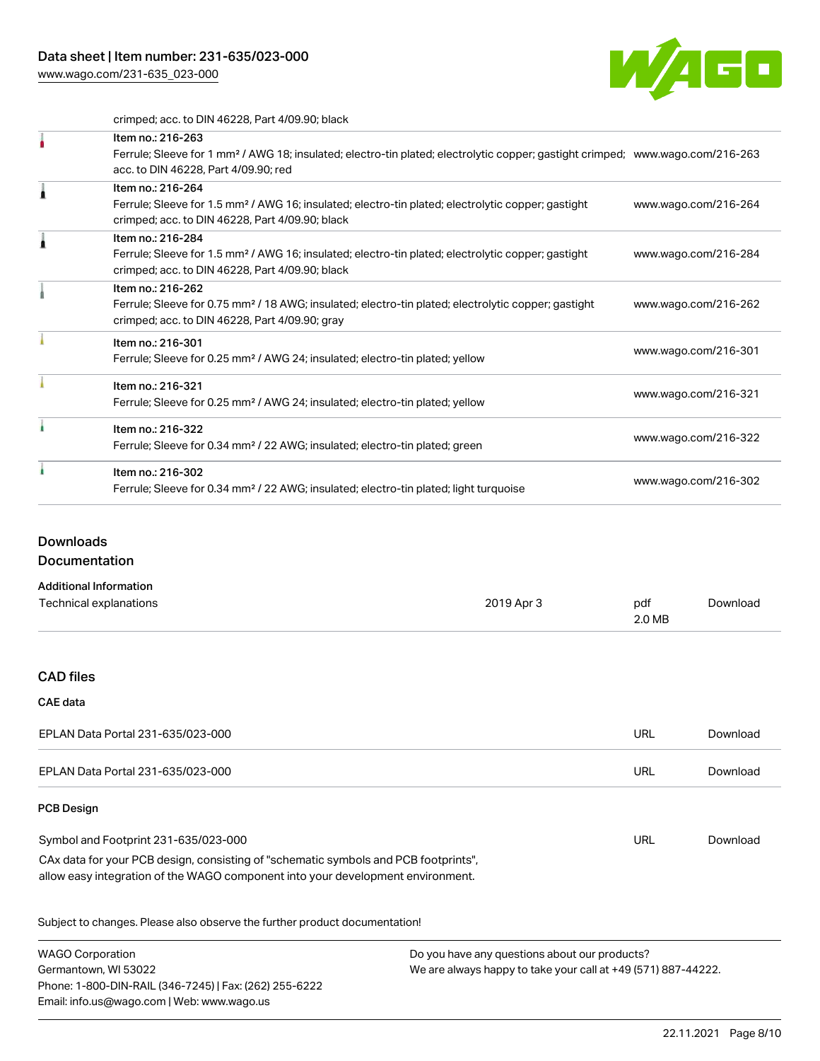[www.wago.com/231-635\\_023-000](http://www.wago.com/231-635_023-000)



crimped; acc. to DIN 46228, Part 4/09.90; black

| Item no.: 216-263                                                                                                                          |                      |
|--------------------------------------------------------------------------------------------------------------------------------------------|----------------------|
| Ferrule; Sleeve for 1 mm <sup>2</sup> / AWG 18; insulated; electro-tin plated; electrolytic copper; gastight crimped; www.wago.com/216-263 |                      |
| acc. to DIN 46228, Part 4/09.90; red                                                                                                       |                      |
| Item no.: 216-264                                                                                                                          |                      |
| Ferrule; Sleeve for 1.5 mm <sup>2</sup> / AWG 16; insulated; electro-tin plated; electrolytic copper; gastight                             | www.wago.com/216-264 |
| crimped; acc. to DIN 46228, Part 4/09.90; black                                                                                            |                      |
| Item no.: 216-284                                                                                                                          |                      |
| Ferrule; Sleeve for 1.5 mm <sup>2</sup> / AWG 16; insulated; electro-tin plated; electrolytic copper; gastight                             | www.wago.com/216-284 |
| crimped; acc. to DIN 46228, Part 4/09.90; black                                                                                            |                      |
| Item no.: 216-262                                                                                                                          |                      |
| Ferrule; Sleeve for 0.75 mm <sup>2</sup> / 18 AWG; insulated; electro-tin plated; electrolytic copper; gastight                            | www.wago.com/216-262 |
| crimped; acc. to DIN 46228, Part 4/09.90; gray                                                                                             |                      |
| Item no.: 216-301                                                                                                                          |                      |
| Ferrule; Sleeve for 0.25 mm <sup>2</sup> / AWG 24; insulated; electro-tin plated; yellow                                                   | www.wago.com/216-301 |
| Item no.: 216-321                                                                                                                          |                      |
| Ferrule; Sleeve for 0.25 mm <sup>2</sup> / AWG 24; insulated; electro-tin plated; yellow                                                   | www.wago.com/216-321 |
| Item no.: 216-322                                                                                                                          |                      |
| Ferrule; Sleeve for 0.34 mm <sup>2</sup> / 22 AWG; insulated; electro-tin plated; green                                                    | www.wago.com/216-322 |
| Item no.: 216-302                                                                                                                          |                      |
| Ferrule; Sleeve for 0.34 mm <sup>2</sup> / 22 AWG; insulated; electro-tin plated; light turquoise                                          | www.wago.com/216-302 |
|                                                                                                                                            |                      |

# **Downloads**

**Documentation** 

| <b>Additional Information</b> |            |        |          |
|-------------------------------|------------|--------|----------|
| Technical explanations        | 2019 Apr 3 | pdf    | Download |
|                               |            | 2.0 MB |          |

# CAD files

## CAE data

| EPLAN Data Portal 231-635/023-000                                                                                                                                                                              | URL | Download |
|----------------------------------------------------------------------------------------------------------------------------------------------------------------------------------------------------------------|-----|----------|
| EPLAN Data Portal 231-635/023-000                                                                                                                                                                              | URL | Download |
| <b>PCB Design</b>                                                                                                                                                                                              |     |          |
| Symbol and Footprint 231-635/023-000<br>CAx data for your PCB design, consisting of "schematic symbols and PCB footprints",<br>allow easy integration of the WAGO component into your development environment. | URL | Download |

Subject to changes. Please also observe the further product documentation!

| <b>WAGO Corporation</b>                                | Do you have any questions about our products?                 |
|--------------------------------------------------------|---------------------------------------------------------------|
| Germantown, WI 53022                                   | We are always happy to take your call at +49 (571) 887-44222. |
| Phone: 1-800-DIN-RAIL (346-7245)   Fax: (262) 255-6222 |                                                               |
| Email: info.us@wago.com   Web: www.wago.us             |                                                               |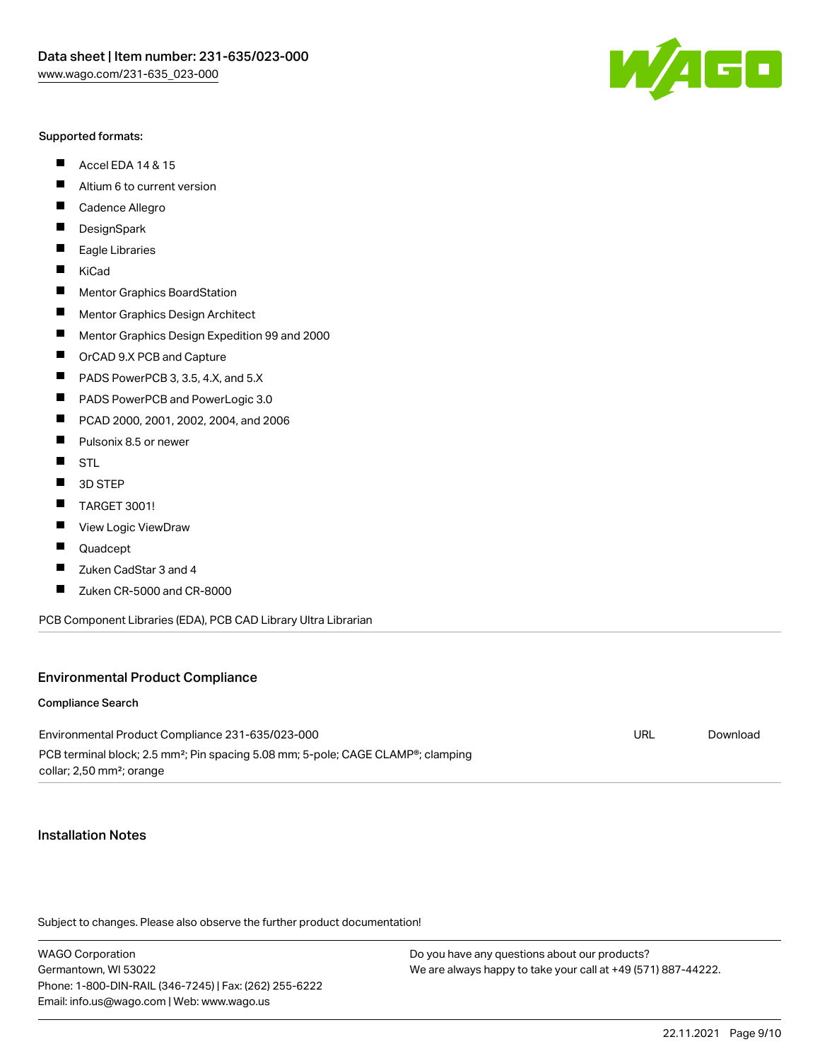#### Supported formats:

- $\blacksquare$ Accel EDA 14 & 15
- $\blacksquare$ Altium 6 to current version
- $\blacksquare$ Cadence Allegro
- $\blacksquare$ **DesignSpark**
- $\blacksquare$ Eagle Libraries
- $\blacksquare$ KiCad
- $\blacksquare$ Mentor Graphics BoardStation
- $\blacksquare$ Mentor Graphics Design Architect
- $\blacksquare$ Mentor Graphics Design Expedition 99 and 2000
- $\blacksquare$ OrCAD 9.X PCB and Capture
- $\blacksquare$ PADS PowerPCB 3, 3.5, 4.X, and 5.X
- $\blacksquare$ PADS PowerPCB and PowerLogic 3.0
- $\blacksquare$ PCAD 2000, 2001, 2002, 2004, and 2006
- $\blacksquare$ Pulsonix 8.5 or newer
- $\blacksquare$ STL
- $\blacksquare$ 3D STEP
- П TARGET 3001!
- $\blacksquare$ View Logic ViewDraw
- П Quadcept
- $\blacksquare$ Zuken CadStar 3 and 4
- Zuken CR-5000 and CR-8000 П

PCB Component Libraries (EDA), PCB CAD Library Ultra Librarian

#### Environmental Product Compliance

#### Compliance Search

Environmental Product Compliance 231-635/023-000 PCB terminal block; 2.5 mm²; Pin spacing 5.08 mm; 5-pole; CAGE CLAMP®; clamping collar; 2,50 mm²; orange

#### Installation Notes

Subject to changes. Please also observe the further product documentation!

WAGO Corporation Germantown, WI 53022 Phone: 1-800-DIN-RAIL (346-7245) | Fax: (262) 255-6222 Email: info.us@wago.com | Web: www.wago.us

Do you have any questions about our products? We are always happy to take your call at +49 (571) 887-44222.



URL [Download](https://www.wago.com/global/d/ComplianceLinkMediaContainer_231-635_023-000)